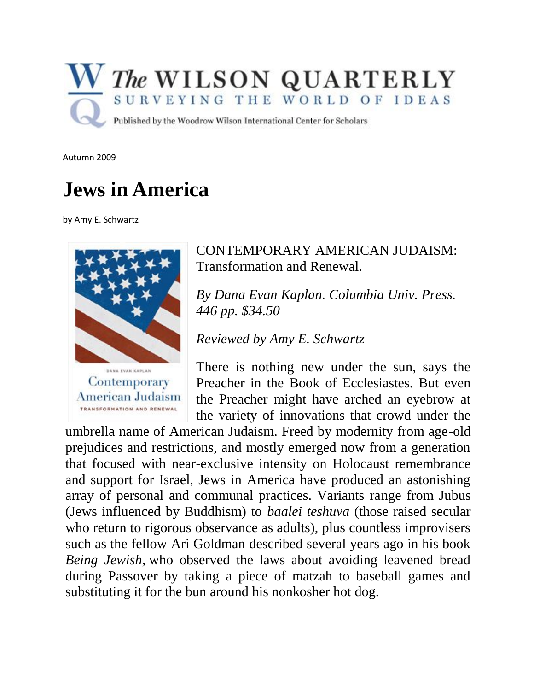

Autumn 2009

## **Jews in America**

by Amy E. Schwartz



## CONTEMPORARY AMERICAN JUDAISM: Transformation and Renewal.

*By Dana Evan Kaplan. Columbia Univ. Press. 446 pp. \$34.50* 

*Reviewed by Amy E. Schwartz* 

There is nothing new under the sun, says the Preacher in the Book of Ecclesiastes. But even the Preacher might have arched an eyebrow at the variety of innovations that crowd under the

umbrella name of American Judaism. Freed by modernity from age-old prejudices and restrictions, and mostly emerged now from a generation that focused with near-exclusive intensity on Holocaust remembrance and support for Israel, Jews in America have produced an astonishing array of personal and communal practices. Variants range from Jubus (Jews influenced by Buddhism) to *baalei teshuva* (those raised secular who return to rigorous observance as adults), plus countless improvisers such as the fellow Ari Goldman described several years ago in his book *Being Jewish,* who observed the laws about avoiding leavened bread during Passover by taking a piece of matzah to baseball games and substituting it for the bun around his nonkosher hot dog.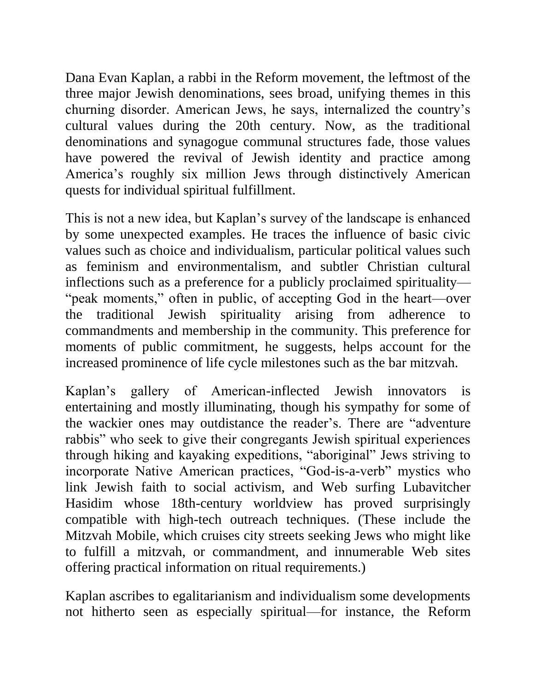Dana Evan Kaplan, a rabbi in the Reform movement, the leftmost of the three major Jewish denominations, sees broad, unifying themes in this churning disorder. American Jews, he says, internalized the country's cultural values during the 20th century. Now, as the traditional denominations and synagogue communal structures fade, those values have powered the revival of Jewish identity and practice among America's roughly six million Jews through distinctively American quests for individual spiritual fulfillment.

This is not a new idea, but Kaplan's survey of the landscape is enhanced by some unexpected examples. He traces the influence of basic civic values such as choice and individualism, particular political values such as feminism and environmentalism, and subtler Christian cultural inflections such as a preference for a publicly proclaimed spirituality— "peak moments," often in public, of accepting God in the heart—over the traditional Jewish spirituality arising from adherence to commandments and membership in the community. This preference for moments of public commitment, he suggests, helps account for the increased prominence of life cycle milestones such as the bar mitzvah.

Kaplan's gallery of American-inflected Jewish innovators is entertaining and mostly illuminating, though his sympathy for some of the wackier ones may outdistance the reader's. There are "adventure rabbis" who seek to give their congregants Jewish spiritual experiences through hiking and kayaking expeditions, "aboriginal" Jews striving to incorporate Native American practices, "God-is-a-verb" mystics who link Jewish faith to social activism, and Web surfing Lubavitcher Hasidim whose 18th-century worldview has proved surprisingly compatible with high-tech outreach techniques. (These include the Mitzvah Mobile, which cruises city streets seeking Jews who might like to fulfill a mitzvah, or commandment, and innumerable Web sites offering practical information on ritual requirements.)

Kaplan ascribes to egalitarianism and individualism some developments not hitherto seen as especially spiritual—for instance, the Reform